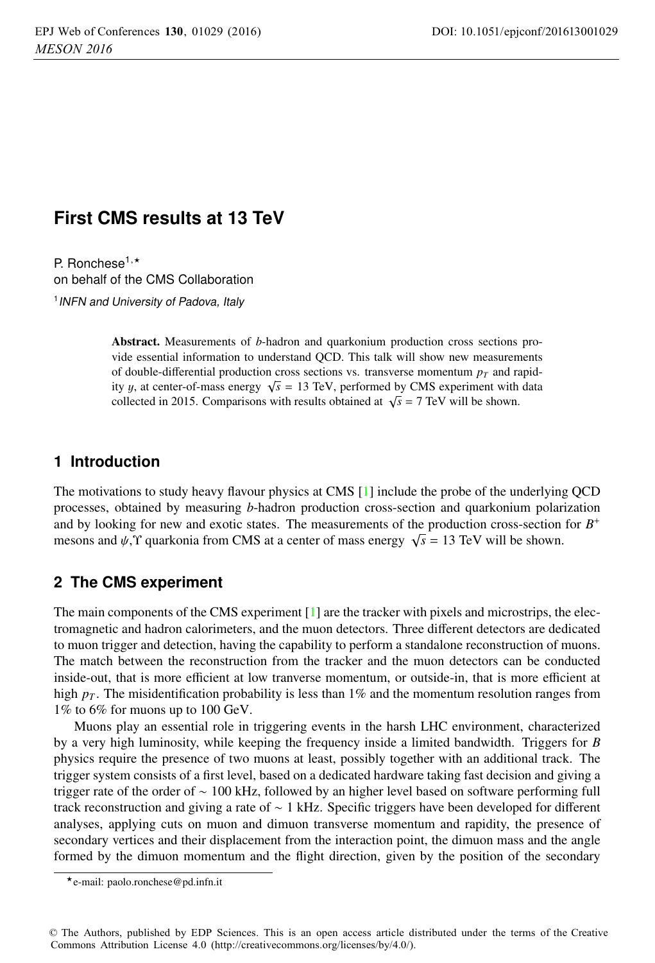# **First CMS results at 13 TeV**

P. Ronchese<sup>1,\*</sup> on behalf of the CMS Collaboration <sup>1</sup> INFN and University of Padova, Italy

> Abstract. Measurements of *<sup>b</sup>*-hadron and quarkonium production cross sections provide essential information to understand QCD. This talk will show new measurements of double-differential production cross sections vs. transverse momentum  $p<sub>T</sub>$  and rapidity y, at center-of-mass energy  $\sqrt{s}$  = 13 TeV, performed by CMS experiment with data collected in 2015. Comparisons with results obtained at  $\sqrt{s} = 7$  TeV will be shown.

## **1 Introduction**

The motivations to study heavy flavour physics at CMS [1] include the probe of the underlying QCD processes, obtained by measuring *b*-hadron production cross-section and quarkonium polarization and by looking for new and exotic states. The measurements of the production cross-section for *B*<sup>+</sup> mesons and  $\psi$ , *Y* quarkonia from CMS at a center of mass energy  $\sqrt{s} = 13$  TeV will be shown.

# **2 The CMS experiment**

The main components of the CMS experiment  $[1]$  are the tracker with pixels and microstrips, the electromagnetic and hadron calorimeters, and the muon detectors. Three different detectors are dedicated to muon trigger and detection, having the capability to perform a standalone reconstruction of muons. The match between the reconstruction from the tracker and the muon detectors can be conducted inside-out, that is more efficient at low tranverse momentum, or outside-in, that is more efficient at high  $p_T$ . The misidentification probability is less than 1% and the momentum resolution ranges from 1% to 6% for muons up to 100 GeV.

Muons play an essential role in triggering events in the harsh LHC environment, characterized by a very high luminosity, while keeping the frequency inside a limited bandwidth. Triggers for *B* physics require the presence of two muons at least, possibly together with an additional track. The trigger system consists of a first level, based on a dedicated hardware taking fast decision and giving a trigger rate of the order of ∼ 100 kHz, followed by an higher level based on software performing full track reconstruction and giving a rate of ∼ 1 kHz. Specific triggers have been developed for different analyses, applying cuts on muon and dimuon transverse momentum and rapidity, the presence of secondary vertices and their displacement from the interaction point, the dimuon mass and the angle formed by the dimuon momentum and the flight direction, given by the position of the secondary

<sup>-</sup>e-mail: paolo.ronchese@pd.infn.it

<sup>©</sup> The Authors, published by EDP Sciences. This is an open access article distributed under the terms of the Creative Commons Attribution License 4.0 (http://creativecommons.org/licenses/by/4.0/).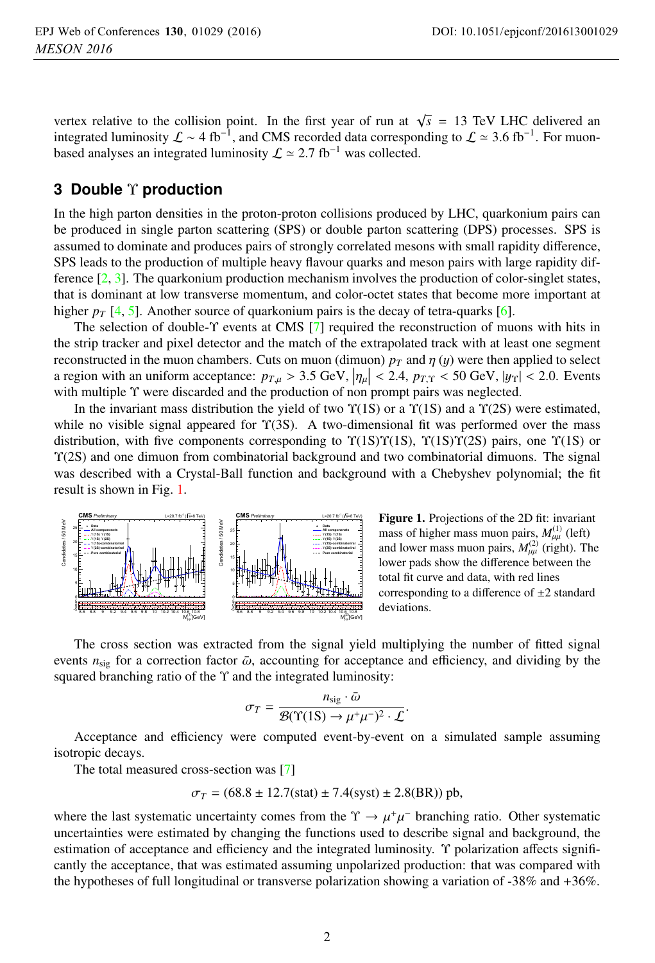vertex relative to the collision point. In the first year of run at  $\sqrt{s}$  = 13 TeV LHC delivered an integrated luminosity  $\mathcal{L} \sim 4$  fb<sup>-1</sup>, and CMS recorded data corresponding to  $\mathcal{L} \approx 3.6$  fb<sup>-1</sup>. For muonbased analyses an integrated luminosity  $\mathcal{L} \approx 2.7$  fb<sup>-1</sup> was collected.

#### **3 Double** Υ **production**

In the high parton densities in the proton-proton collisions produced by LHC, quarkonium pairs can be produced in single parton scattering (SPS) or double parton scattering (DPS) processes. SPS is assumed to dominate and produces pairs of strongly correlated mesons with small rapidity difference, SPS leads to the production of multiple heavy flavour quarks and meson pairs with large rapidity difference [2, 3]. The quarkonium production mechanism involves the production of color-singlet states, that is dominant at low transverse momentum, and color-octet states that become more important at higher  $p_T$  [4, 5]. Another source of quarkonium pairs is the decay of tetra-quarks [6].

The selection of double-Υ events at CMS [7] required the reconstruction of muons with hits in the strip tracker and pixel detector and the match of the extrapolated track with at least one segment reconstructed in the muon chambers. Cuts on muon (dimuon)  $p_T$  and  $\eta$  (y) were then applied to select a region with an uniform acceptance:  $p_{T,\mu} > 3.5$  GeV,  $|\eta_{\mu}| < 2.4$ ,  $p_{T,\Upsilon} < 50$  GeV,  $|y_{\Upsilon}| < 2.0$ . Events with multiple  $\Upsilon$  were discarded and the production of non prompt pairs was neglected.

In the invariant mass distribution the yield of two  $\Upsilon(1S)$  or a  $\Upsilon(1S)$  and a  $\Upsilon(2S)$  were estimated, while no visible signal appeared for  $\Upsilon(3S)$ . A two-dimensional fit was performed over the mass distribution, with five components corresponding to  $\Upsilon(1S)\Upsilon(1S)$ ,  $\Upsilon(1S)\Upsilon(2S)$  pairs, one  $\Upsilon(1S)$  or Υ(2S) and one dimuon from combinatorial background and two combinatorial dimuons. The signal was described with a Crystal-Ball function and background with a Chebyshev polynomial; the fit result is shown in Fig. 1.



Figure 1. Projections of the 2D fit: invariant mass of higher mass muon pairs,  $M_{\mu\mu}^{(1)}$  (left) and lower mass muon pairs,  $M_{\mu\mu}^{(2)}$  (right). The lower pads show the difference between the total fit curve and data, with red lines corresponding to a difference of  $\pm 2$  standard deviations.

The cross section was extracted from the signal yield multiplying the number of fitted signal events  $n_{sig}$  for a correction factor  $\bar{\omega}$ , accounting for acceptance and efficiency, and dividing by the squared branching ratio of the Υ and the integrated luminosity:

$$
\sigma_T = \frac{n_{\text{sig}} \cdot \bar{\omega}}{\mathcal{B}(\Upsilon(1S) \to \mu^+ \mu^-)^2 \cdot \mathcal{L}}.
$$

Acceptance and efficiency were computed event-by-event on a simulated sample assuming isotropic decays.

The total measured cross-section was [7]

$$
\sigma_T = (68.8 \pm 12.7 \text{(stat)} \pm 7.4 \text{(syst)} \pm 2.8 \text{(BR)}) \text{ pb},
$$

where the last systematic uncertainty comes from the  $\Upsilon \to \mu^+\mu^-$  branching ratio. Other systematic uncertainties were estimated by changing the functions used to describe signal and background, the estimation of acceptance and efficiency and the integrated luminosity. Υ polarization affects significantly the acceptance, that was estimated assuming unpolarized production: that was compared with the hypotheses of full longitudinal or transverse polarization showing a variation of -38% and +36%.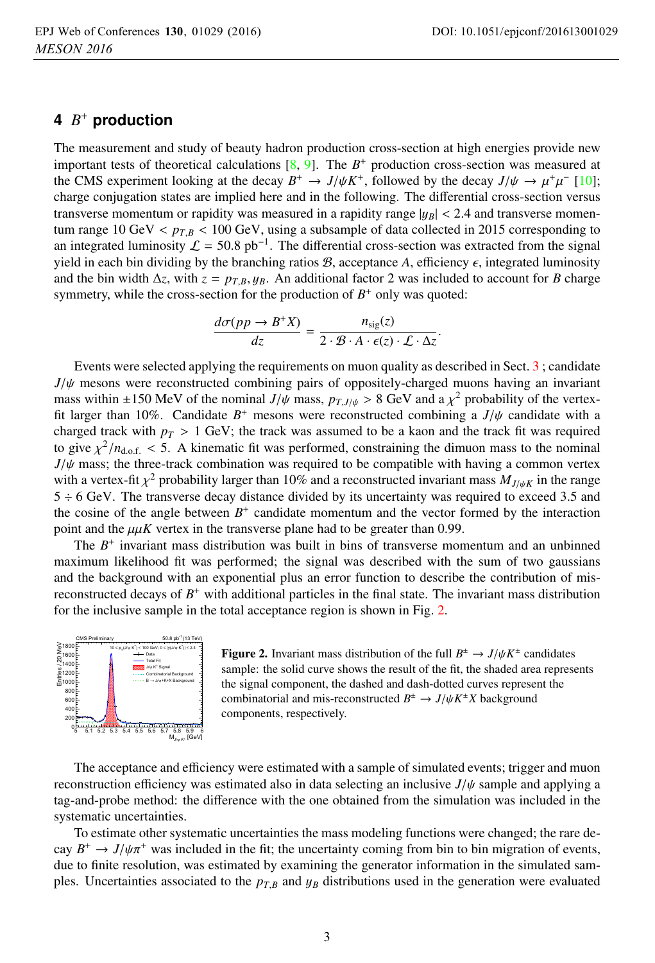#### **4** *B*<sup>+</sup> **production**

The measurement and study of beauty hadron production cross-section at high energies provide new important tests of theoretical calculations  $[8, 9]$ . The  $B^+$  production cross-section was measured at the CMS experiment looking at the decay  $B^+ \to J/\psi K^+$ , followed by the decay  $J/\psi \to \mu^+\mu^-$  [10]; charge conjugation states are implied here and in the following. The differential cross-section versus transverse momentum or rapidity was measured in a rapidity range  $|y_B| < 2.4$  and transverse momentum range 10 GeV  $\lt p_{T,B} \lt 100$  GeV, using a subsample of data collected in 2015 corresponding to an integrated luminosity  $\mathcal{L} = 50.8 \text{ pb}^{-1}$ . The differential cross-section was extracted from the signal yield in each bin dividing by the branching ratios  $B$ , acceptance  $A$ , efficiency  $\epsilon$ , integrated luminosity and the bin width  $\Delta z$ , with  $z = p_{T,B}$ ,  $y_B$ . An additional factor 2 was included to account for *B* charge symmetry, while the cross-section for the production of  $B^+$  only was quoted:

$$
\frac{d\sigma(pp \to B^+X)}{dz} = \frac{n_{\text{sig}}(z)}{2 \cdot \mathcal{B} \cdot A \cdot \epsilon(z) \cdot \mathcal{L} \cdot \Delta z}.
$$

Events were selected applying the requirements on muon quality as described in Sect. 3 ; candidate  $J/\psi$  mesons were reconstructed combining pairs of oppositely-charged muons having an invariant mass within  $\pm 150$  MeV of the nominal *J*/ $\psi$  mass,  $p_{T,J/\psi} > 8$  GeV and a  $\chi^2$  probability of the vertexfit larger than 10%. Candidate  $B^+$  mesons were reconstructed combining a  $J/\psi$  candidate with a charged track with  $p_T > 1$  GeV; the track was assumed to be a kaon and the track fit was required to give  $\chi^2/n_{\text{d.o.f.}} < 5$ . A kinematic fit was performed, constraining the dimuon mass to the nominal  $J/\psi$  mass; the three-track combination was required to be compatible with having a common vertex with a vertex-fit  $\chi^2$  probability larger than 10% and a reconstructed invariant mass  $M_{J/\psi K}$  in the range 5 ÷ 6 GeV. The transverse decay distance divided by its uncertainty was required to exceed 3.5 and the cosine of the angle between  $B^+$  candidate momentum and the vector formed by the interaction point and the  $\mu\mu K$  vertex in the transverse plane had to be greater than 0.99.

The  $B^+$  invariant mass distribution was built in bins of transverse momentum and an unbinned maximum likelihood fit was performed; the signal was described with the sum of two gaussians and the background with an exponential plus an error function to describe the contribution of misreconstructed decays of  $B^+$  with additional particles in the final state. The invariant mass distribution for the inclusive sample in the total acceptance region is shown in Fig. 2.



**Figure 2.** Invariant mass distribution of the full  $B^{\pm} \rightarrow J/\psi K^{\pm}$  candidates sample: the solid curve shows the result of the fit, the shaded area represents the signal component, the dashed and dash-dotted curves represent the combinatorial and mis-reconstructed  $B^{\pm} \rightarrow J/\psi K^{\pm} X$  background components, respectively.

The acceptance and efficiency were estimated with a sample of simulated events; trigger and muon reconstruction efficiency was estimated also in data selecting an inclusive  $J/\psi$  sample and applying a tag-and-probe method: the difference with the one obtained from the simulation was included in the systematic uncertainties.

To estimate other systematic uncertainties the mass modeling functions were changed; the rare decay  $B^+ \to J/\psi \pi^+$  was included in the fit; the uncertainty coming from bin to bin migration of events, due to finite resolution, was estimated by examining the generator information in the simulated samples. Uncertainties associated to the  $p_{T,B}$  and  $y_B$  distributions used in the generation were evaluated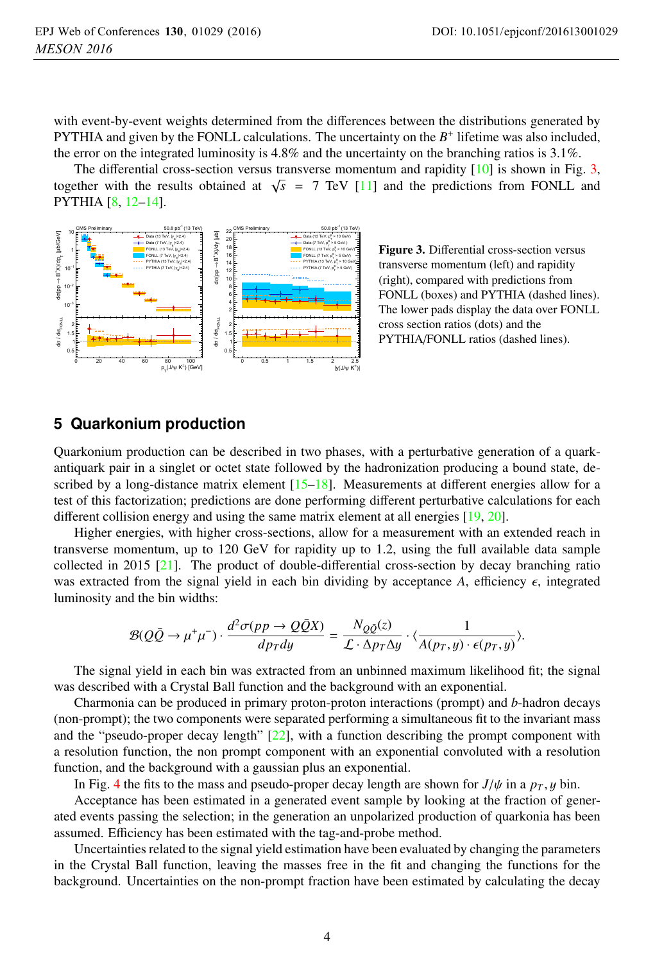with event-by-event weights determined from the differences between the distributions generated by PYTHIA and given by the FONLL calculations. The uncertainty on the  $B<sup>+</sup>$  lifetime was also included, the error on the integrated luminosity is 4.8% and the uncertainty on the branching ratios is 3.1%.

The differential cross-section versus transverse momentum and rapidity  $[10]$  is shown in Fig. 3, together with the results obtained at  $\sqrt{s}$  = 7 TeV [11] and the predictions from FONLL and PYTHIA [8, 12–14].



Figure 3. Differential cross-section versus transverse momentum (left) and rapidity (right), compared with predictions from FONLL (boxes) and PYTHIA (dashed lines). The lower pads display the data over FONLL cross section ratios (dots) and the PYTHIA/FONLL ratios (dashed lines).

#### **5 Quarkonium production**

Quarkonium production can be described in two phases, with a perturbative generation of a quarkantiquark pair in a singlet or octet state followed by the hadronization producing a bound state, described by a long-distance matrix element  $[15-18]$ . Measurements at different energies allow for a test of this factorization; predictions are done performing different perturbative calculations for each different collision energy and using the same matrix element at all energies [19, 20].

Higher energies, with higher cross-sections, allow for a measurement with an extended reach in transverse momentum, up to 120 GeV for rapidity up to 1.2, using the full available data sample collected in 2015 [21]. The product of double-differential cross-section by decay branching ratio was extracted from the signal yield in each bin dividing by acceptance  $A$ , efficiency  $\epsilon$ , integrated luminosity and the bin widths:

$$
\mathcal{B}(Q\bar{Q}\to \mu^+\mu^-)\cdot \frac{d^2\sigma(pp\to Q\bar{Q}X)}{dp_Tdy}=\frac{N_{Q\bar{Q}}(z)}{\mathcal{L}\cdot \Delta p_T\Delta y}\cdot \langle \frac{1}{A(p_T,y)\cdot \epsilon(p_T,y)}\rangle.
$$

The signal yield in each bin was extracted from an unbinned maximum likelihood fit; the signal was described with a Crystal Ball function and the background with an exponential.

Charmonia can be produced in primary proton-proton interactions (prompt) and *b*-hadron decays (non-prompt); the two components were separated performing a simultaneous fit to the invariant mass and the "pseudo-proper decay length" [22], with a function describing the prompt component with a resolution function, the non prompt component with an exponential convoluted with a resolution function, and the background with a gaussian plus an exponential.

In Fig. 4 the fits to the mass and pseudo-proper decay length are shown for  $J/\psi$  in a  $p_T$ , y bin.

Acceptance has been estimated in a generated event sample by looking at the fraction of generated events passing the selection; in the generation an unpolarized production of quarkonia has been assumed. Efficiency has been estimated with the tag-and-probe method.

Uncertainties related to the signal yield estimation have been evaluated by changing the parameters in the Crystal Ball function, leaving the masses free in the fit and changing the functions for the background. Uncertainties on the non-prompt fraction have been estimated by calculating the decay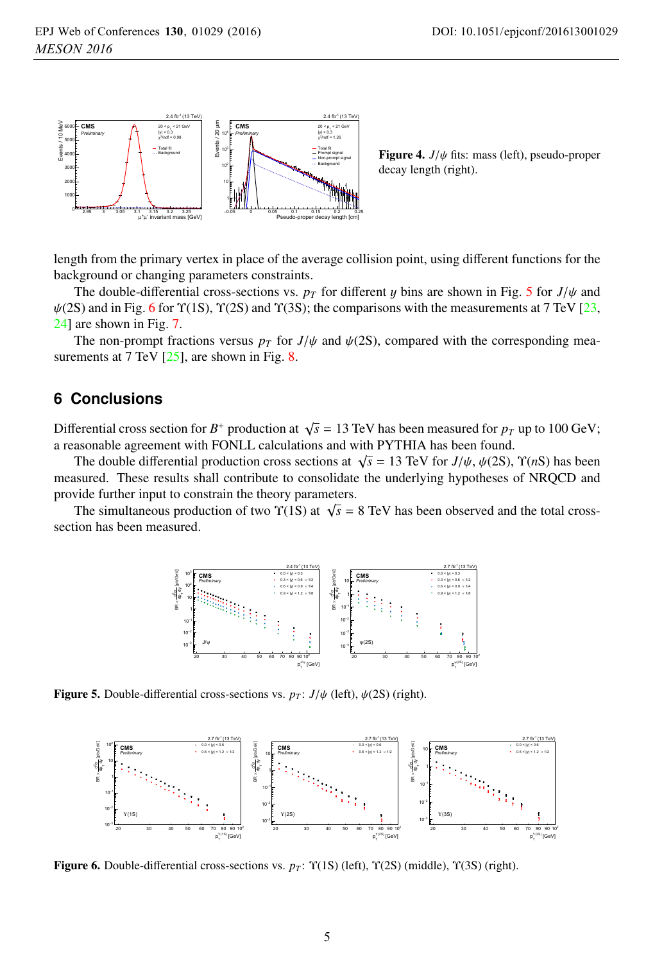

Figure 4.  $J/\psi$  fits: mass (left), pseudo-proper decay length (right).

length from the primary vertex in place of the average collision point, using different functions for the background or changing parameters constraints.

The double-differential cross-sections vs.  $p<sub>T</sub>$  for different y bins are shown in Fig. 5 for  $J/\psi$  and  $\psi(2S)$  and in Fig. 6 for  $\Upsilon(1S)$ ,  $\Upsilon(2S)$  and  $\Upsilon(3S)$ ; the comparisons with the measurements at 7 TeV [23, 24] are shown in Fig. 7.

The non-prompt fractions versus  $p_T$  for  $J/\psi$  and  $\psi(2S)$ , compared with the corresponding measurements at 7 TeV  $[25]$ , are shown in Fig. 8.

### **6 Conclusions**

Differential cross section for *B*<sup>+</sup> production at  $\sqrt{s} = 13$  TeV has been measured for  $p_T$  up to 100 GeV; a reasonable agreement with FONLL calculations and with PYTHIA has been found.

The double differential production cross sections at  $\sqrt{s}$  = 13 TeV for *J*/ $\psi$ ,  $\psi$ (2S),  $\Upsilon$ (*n*S) has been measured. These results shall contribute to consolidate the underlying hypotheses of NRQCD and provide further input to constrain the theory parameters.

The simultaneous production of two  $\Upsilon(1S)$  at  $\sqrt{s} = 8$  TeV has been observed and the total crosssection has been measured.



Figure 5. Double-differential cross-sections vs.  $p_T$ :  $J/\psi$  (left),  $\psi$ (2S) (right).



Figure 6. Double-differential cross-sections vs. *p<sub>T</sub>*: Υ(1S) (left), Υ(2S) (middle), Υ(3S) (right).